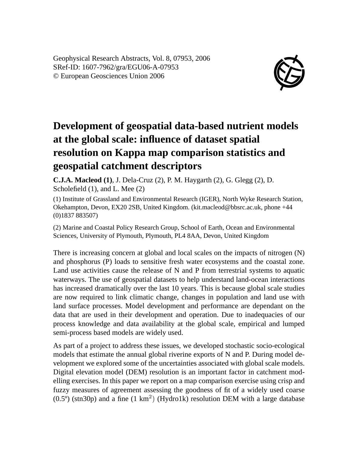Geophysical Research Abstracts, Vol. 8, 07953, 2006 SRef-ID: 1607-7962/gra/EGU06-A-07953 © European Geosciences Union 2006



## **Development of geospatial data-based nutrient models at the global scale: influence of dataset spatial resolution on Kappa map comparison statistics and geospatial catchment descriptors**

**C.J.A. Macleod (1)**, J. Dela-Cruz (2), P. M. Haygarth (2), G. Glegg (2), D. Scholefield (1), and L. Mee (2)

(1) Institute of Grassland and Environmental Research (IGER), North Wyke Research Station, Okehampton, Devon, EX20 2SB, United Kingdom. (kit.macleod@bbsrc.ac.uk, phone +44 (0)1837 883507)

(2) Marine and Coastal Policy Research Group, School of Earth, Ocean and Environmental Sciences, University of Plymouth, Plymouth, PL4 8AA, Devon, United Kingdom

There is increasing concern at global and local scales on the impacts of nitrogen (N) and phosphorus (P) loads to sensitive fresh water ecosystems and the coastal zone. Land use activities cause the release of N and P from terrestrial systems to aquatic waterways. The use of geospatial datasets to help understand land-ocean interactions has increased dramatically over the last 10 years. This is because global scale studies are now required to link climatic change, changes in population and land use with land surface processes. Model development and performance are dependant on the data that are used in their development and operation. Due to inadequacies of our process knowledge and data availability at the global scale, empirical and lumped semi-process based models are widely used.

As part of a project to address these issues, we developed stochastic socio-ecological models that estimate the annual global riverine exports of N and P. During model development we explored some of the uncertainties associated with global scale models. Digital elevation model (DEM) resolution is an important factor in catchment modelling exercises. In this paper we report on a map comparison exercise using crisp and fuzzy measures of agreement assessing the goodness of fit of a widely used coarse  $(0.5^{\circ})$  (stn30p) and a fine  $(1 \text{ km}^2)$  (Hydro1k) resolution DEM with a large database